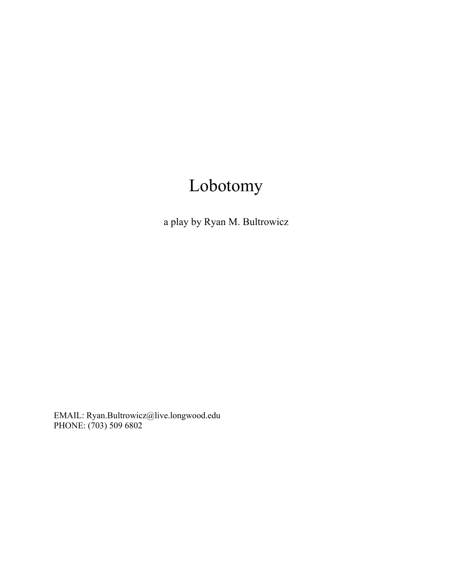# Lobotomy

a play by Ryan M. Bultrowicz

EMAIL: Ryan.Bultrowicz@live.longwood.edu PHONE: (703) 509 6802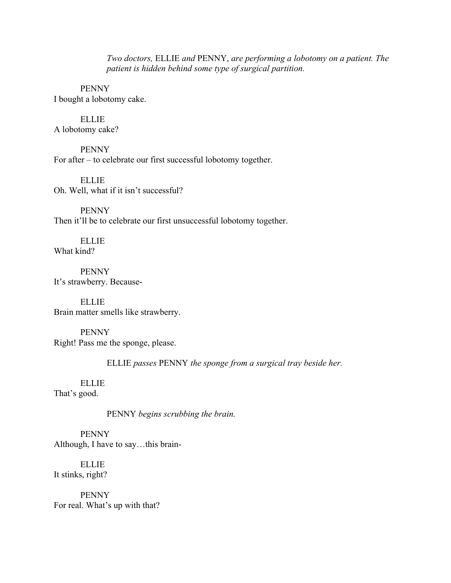*Two doctors,* ELLIE *and* PENNY, *are performing a lobotomy on a patient. The patient is hidden behind some type of surgical partition.*

PENNY I bought a lobotomy cake.

ELLIE A lobotomy cake?

PENNY For after – to celebrate our first successful lobotomy together.

ELLIE Oh. Well, what if it isn't successful?

PENNY Then it'll be to celebrate our first unsuccessful lobotomy together.

ELLIE What kind?

PENNY It's strawberry. Because-

**ELLIE** Brain matter smells like strawberry.

PENNY Right! Pass me the sponge, please.

ELLIE *passes* PENNY *the sponge from a surgical tray beside her.*

ELLIE That's good.

PENNY *begins scrubbing the brain.*

PENNY Although, I have to say…this brain-

ELLIE It stinks, right?

PENNY For real. What's up with that?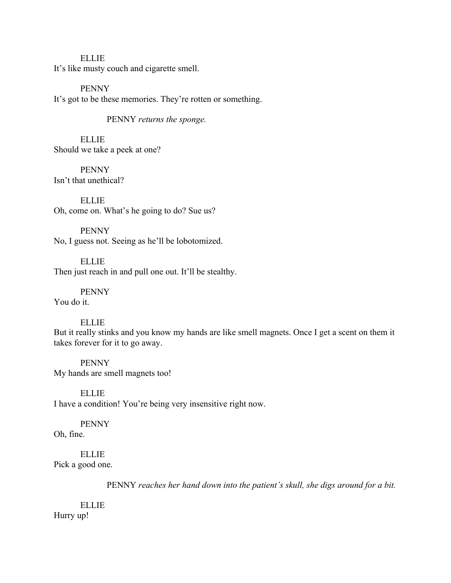# ELLIE

It's like musty couch and cigarette smell.

PENNY It's got to be these memories. They're rotten or something.

PENNY *returns the sponge.*

ELLIE Should we take a peek at one?

PENNY Isn't that unethical?

ELLIE Oh, come on. What's he going to do? Sue us?

PENNY No, I guess not. Seeing as he'll be lobotomized.

ELLIE Then just reach in and pull one out. It'll be stealthy.

PENNY

You do it.

## ELLIE

But it really stinks and you know my hands are like smell magnets. Once I get a scent on them it takes forever for it to go away.

PENNY My hands are smell magnets too!

ELLIE I have a condition! You're being very insensitive right now.

## PENNY

Oh, fine.

ELLIE Pick a good one.

PENNY *reaches her hand down into the patient's skull, she digs around for a bit.*

ELLIE Hurry up!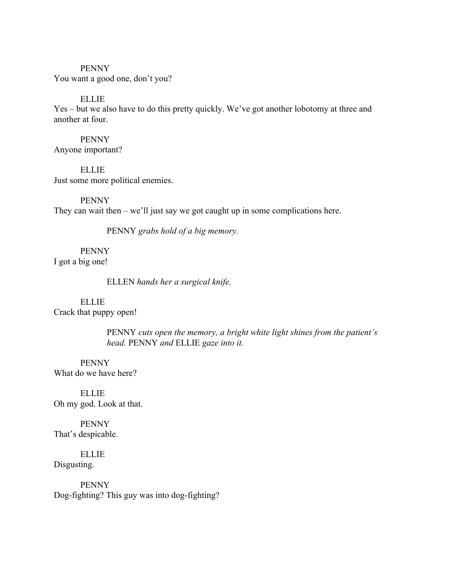#### PENNY

You want a good one, don't you?

## ELLIE

Yes – but we also have to do this pretty quickly. We've got another lobotomy at three and another at four.

#### PENNY

Anyone important?

ELLIE Just some more political enemies.

PENNY They can wait then – we'll just say we got caught up in some complications here.

PENNY *grabs hold of a big memory.*

PENNY

I got a big one!

ELLEN *hands her a surgical knife.*

#### ELLIE

Crack that puppy open!

PENNY *cuts open the memory, a bright white light shines from the patient's head.* PENNY *and* ELLIE *gaze into it.*

PENNY What do we have here?

ELLIE Oh my god. Look at that.

PENNY That's despicable.

ELLIE Disgusting.

PENNY Dog-fighting? This guy was into dog-fighting?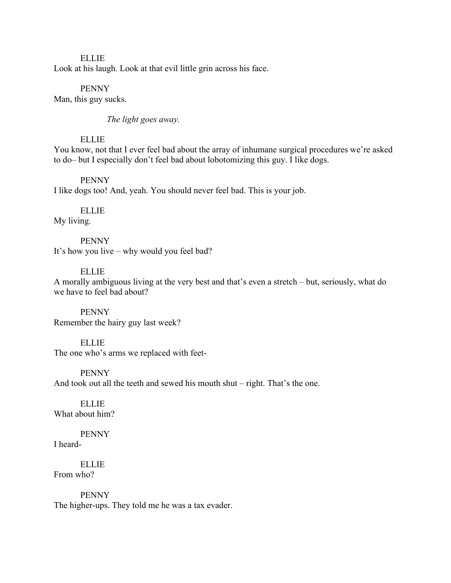ELLIE Look at his laugh. Look at that evil little grin across his face.

PENNY Man, this guy sucks.

*The light goes away.*

## ELLIE

You know, not that I ever feel bad about the array of inhumane surgical procedures we're asked to do– but I especially don't feel bad about lobotomizing this guy. I like dogs.

#### PENNY

I like dogs too! And, yeah. You should never feel bad. This is your job.

ELLIE My living.

PENNY It's how you live – why would you feel bad?

## ELLIE

A morally ambiguous living at the very best and that's even a stretch – but, seriously, what do we have to feel bad about?

PENNY Remember the hairy guy last week?

ELLIE The one who's arms we replaced with feet-

PENNY And took out all the teeth and sewed his mouth shut – right. That's the one.

**ELLIE** What about him?

PENNY I heard-

ELLIE From who?

PENNY The higher-ups. They told me he was a tax evader.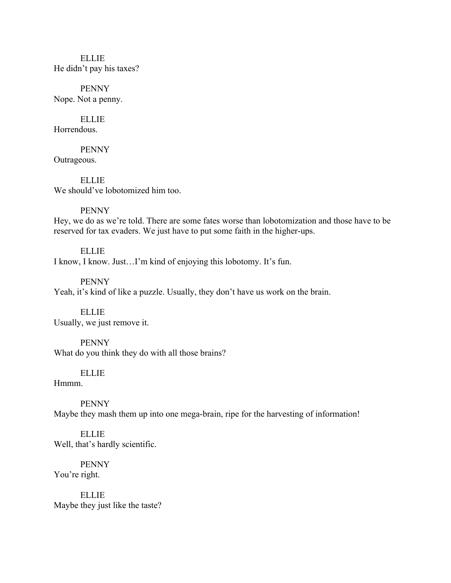# ELLIE He didn't pay his taxes?

PENNY Nope. Not a penny.

ELLIE Horrendous.

PENNY Outrageous.

ELLIE We should've lobotomized him too.

# PENNY

Hey, we do as we're told. There are some fates worse than lobotomization and those have to be reserved for tax evaders. We just have to put some faith in the higher-ups.

ELLIE I know, I know. Just…I'm kind of enjoying this lobotomy. It's fun.

PENNY Yeah, it's kind of like a puzzle. Usually, they don't have us work on the brain.

ELLIE Usually, we just remove it.

PENNY What do you think they do with all those brains?

# ELLIE

Hmmm.

PENNY Maybe they mash them up into one mega-brain, ripe for the harvesting of information!

ELLIE Well, that's hardly scientific.

PENNY You're right.

ELLIE Maybe they just like the taste?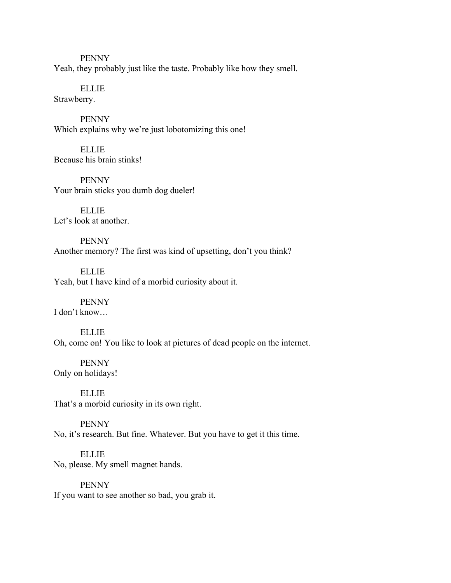PENNY Yeah, they probably just like the taste. Probably like how they smell.

ELLIE Strawberry.

PENNY Which explains why we're just lobotomizing this one!

ELLIE Because his brain stinks!

PENNY Your brain sticks you dumb dog dueler!

ELLIE Let's look at another.

PENNY Another memory? The first was kind of upsetting, don't you think?

ELLIE Yeah, but I have kind of a morbid curiosity about it.

PENNY I don't know…

ELLIE Oh, come on! You like to look at pictures of dead people on the internet.

PENNY Only on holidays!

ELLIE That's a morbid curiosity in its own right.

PENNY No, it's research. But fine. Whatever. But you have to get it this time.

ELLIE No, please. My smell magnet hands.

PENNY If you want to see another so bad, you grab it.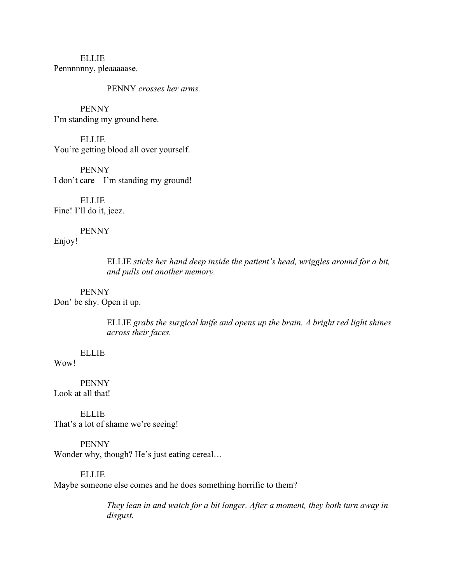ELLIE Pennnnnny, pleaaaaase.

PENNY *crosses her arms.*

PENNY I'm standing my ground here.

ELLIE You're getting blood all over yourself.

PENNY I don't care – I'm standing my ground!

**ELLIE** Fine! I'll do it, jeez.

PENNY Enjoy!

> ELLIE *sticks her hand deep inside the patient's head, wriggles around for a bit, and pulls out another memory.*

PENNY Don' be shy. Open it up.

> ELLIE *grabs the surgical knife and opens up the brain. A bright red light shines across their faces.*

ELLIE

Wow!

PENNY Look at all that!

ELLIE That's a lot of shame we're seeing!

PENNY Wonder why, though? He's just eating cereal...

ELLIE Maybe someone else comes and he does something horrific to them?

> *They lean in and watch for a bit longer. After a moment, they both turn away in disgust.*